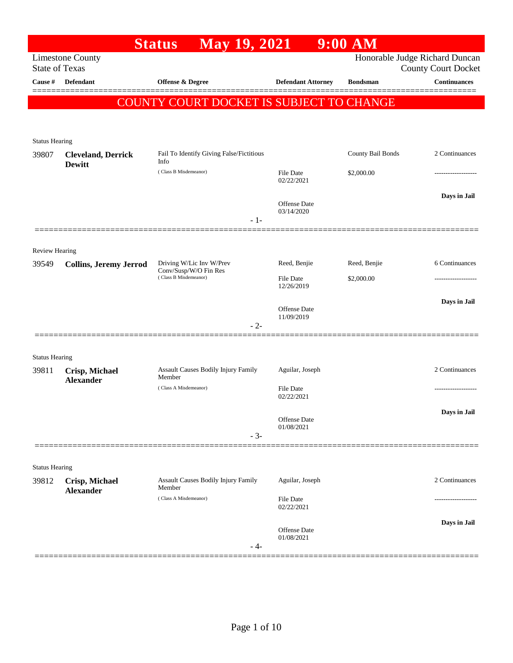|                                |                                            | <b>May 19, 2021</b><br><b>Status</b>              |                            | $9:00$ AM         |                                                              |
|--------------------------------|--------------------------------------------|---------------------------------------------------|----------------------------|-------------------|--------------------------------------------------------------|
| <b>State of Texas</b>          | <b>Limestone County</b>                    |                                                   |                            |                   | Honorable Judge Richard Duncan<br><b>County Court Docket</b> |
| Cause #                        | Defendant                                  | <b>Offense &amp; Degree</b>                       | <b>Defendant Attorney</b>  | <b>Bondsman</b>   | <b>Continuances</b>                                          |
|                                |                                            | COUNTY COURT DOCKET IS SUBJECT TO CHANGE          |                            |                   |                                                              |
| <b>Status Hearing</b>          |                                            |                                                   |                            |                   |                                                              |
| 39807                          | <b>Cleveland, Derrick</b><br><b>Dewitt</b> | Fail To Identify Giving False/Fictitious<br>Info  |                            | County Bail Bonds | 2 Continuances                                               |
|                                |                                            | (Class B Misdemeanor)                             | File Date<br>02/22/2021    | \$2,000.00        |                                                              |
|                                |                                            | $-1-$                                             | Offense Date<br>03/14/2020 |                   | Days in Jail                                                 |
| <b>Review Hearing</b>          |                                            |                                                   |                            |                   |                                                              |
| 39549                          | <b>Collins, Jeremy Jerrod</b>              | Driving W/Lic Inv W/Prev<br>Conv/Susp/W/O Fin Res | Reed, Benjie               | Reed, Benjie      | 6 Continuances                                               |
|                                |                                            | (Class B Misdemeanor)                             | File Date<br>12/26/2019    | \$2,000.00        |                                                              |
|                                |                                            | $-2-$                                             | Offense Date<br>11/09/2019 |                   | Days in Jail                                                 |
| <b>Status Hearing</b>          |                                            |                                                   |                            |                   |                                                              |
| 39811                          | Crisp, Michael<br><b>Alexander</b>         | Assault Causes Bodily Injury Family<br>Member     | Aguilar, Joseph            |                   | 2 Continuances                                               |
|                                |                                            | (Class A Misdemeanor)                             | File Date<br>02/22/2021    |                   |                                                              |
|                                |                                            | $-3-$                                             | Offense Date<br>01/08/2021 |                   | Days in Jail                                                 |
|                                |                                            |                                                   |                            |                   |                                                              |
| <b>Status Hearing</b><br>39812 | Crisp, Michael                             | Assault Causes Bodily Injury Family<br>Member     | Aguilar, Joseph            |                   | 2 Continuances                                               |
|                                | <b>Alexander</b>                           | (Class A Misdemeanor)                             | File Date<br>02/22/2021    |                   |                                                              |
|                                |                                            | - 4-                                              | Offense Date<br>01/08/2021 |                   | Days in Jail                                                 |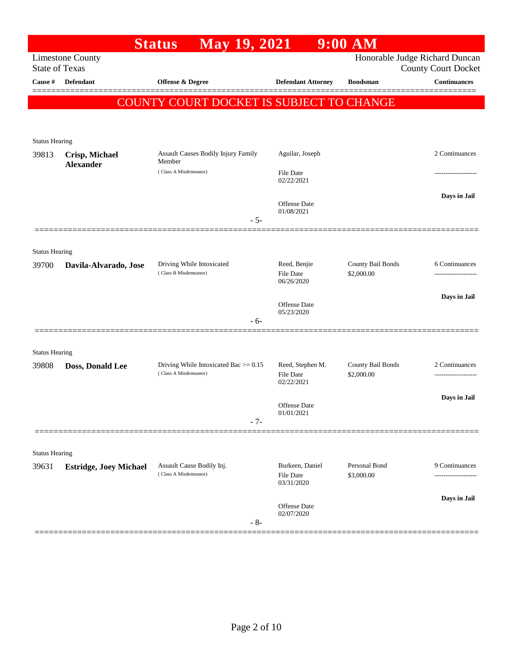|                                  |                               | <b>May 19, 2021</b><br><b>Status</b>                                |                                   | $9:00$ AM         |                                                   |
|----------------------------------|-------------------------------|---------------------------------------------------------------------|-----------------------------------|-------------------|---------------------------------------------------|
|                                  | <b>Limestone County</b>       |                                                                     |                                   |                   | Honorable Judge Richard Duncan                    |
| <b>State of Texas</b><br>Cause # | <b>Defendant</b>              | Offense & Degree                                                    | <b>Defendant Attorney</b>         | <b>Bondsman</b>   | <b>County Court Docket</b><br><b>Continuances</b> |
|                                  |                               |                                                                     |                                   |                   |                                                   |
|                                  |                               | <b>COUNTY COURT DOCKET IS SUBJECT TO CHANGE</b>                     |                                   |                   |                                                   |
|                                  |                               |                                                                     |                                   |                   |                                                   |
| <b>Status Hearing</b>            |                               |                                                                     |                                   |                   |                                                   |
| 39813                            | Crisp, Michael                | Assault Causes Bodily Injury Family                                 | Aguilar, Joseph                   |                   | 2 Continuances                                    |
|                                  | <b>Alexander</b>              | Member<br>(Class A Misdemeanor)                                     | File Date                         |                   |                                                   |
|                                  |                               |                                                                     | 02/22/2021                        |                   |                                                   |
|                                  |                               |                                                                     | Offense Date                      |                   | Days in Jail                                      |
|                                  |                               | $-5-$                                                               | 01/08/2021                        |                   |                                                   |
|                                  |                               |                                                                     |                                   |                   |                                                   |
|                                  |                               |                                                                     |                                   |                   |                                                   |
| <b>Status Hearing</b><br>39700   | Davila-Alvarado, Jose         | Driving While Intoxicated                                           | Reed, Benjie                      | County Bail Bonds | 6 Continuances                                    |
|                                  |                               | (Class B Misdemeanor)                                               | <b>File Date</b><br>06/26/2020    | \$2,000.00        |                                                   |
|                                  |                               |                                                                     |                                   |                   | Days in Jail                                      |
|                                  |                               |                                                                     | <b>Offense</b> Date<br>05/23/2020 |                   |                                                   |
|                                  |                               | - 6-                                                                |                                   |                   |                                                   |
|                                  |                               |                                                                     |                                   |                   |                                                   |
| <b>Status Hearing</b>            |                               |                                                                     |                                   |                   |                                                   |
| 39808                            | Doss, Donald Lee              | Driving While Intoxicated Bac $\ge$ = 0.15<br>(Class A Misdemeanor) | Reed, Stephen M.                  | County Bail Bonds | 2 Continuances                                    |
|                                  |                               |                                                                     | <b>File Date</b><br>02/22/2021    | \$2,000.00        |                                                   |
|                                  |                               |                                                                     |                                   |                   | Days in Jail                                      |
|                                  |                               |                                                                     | <b>Offense</b> Date<br>01/01/2021 |                   |                                                   |
|                                  |                               | $-7-$                                                               |                                   |                   |                                                   |
|                                  |                               |                                                                     |                                   |                   |                                                   |
| <b>Status Hearing</b>            |                               | Assault Cause Bodily Inj.                                           | Burkeen, Daniel                   | Personal Bond     | 9 Continuances                                    |
| 39631                            | <b>Estridge, Joey Michael</b> | (Class A Misdemeanor)                                               | <b>File Date</b>                  | \$3,000.00        |                                                   |
|                                  |                               |                                                                     | 03/31/2020                        |                   |                                                   |
|                                  |                               |                                                                     | Offense Date                      |                   | Days in Jail                                      |
|                                  |                               | $-8-$                                                               | 02/07/2020                        |                   |                                                   |
|                                  |                               |                                                                     |                                   |                   |                                                   |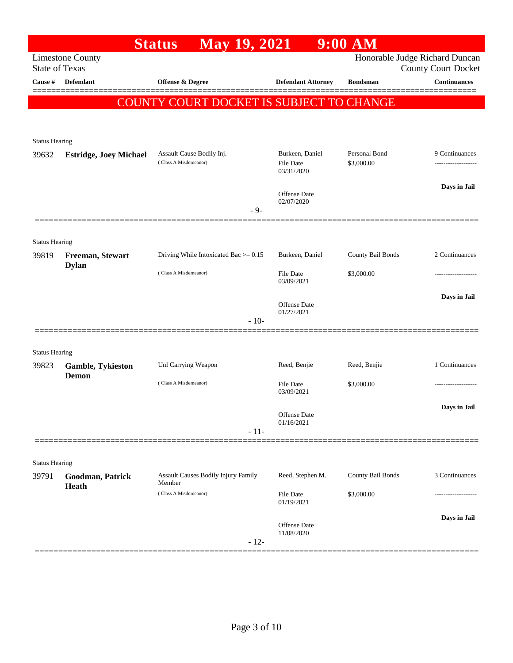| Honorable Judge Richard Duncan<br><b>Limestone County</b><br><b>State of Texas</b><br><b>County Court Docket</b><br><b>Continuances</b><br>Cause #<br><b>Defendant</b><br>Offense & Degree<br><b>Defendant Attorney</b><br><b>Bondsman</b><br><b>COUNTY COURT DOCKET IS SUBJECT TO CHANGE</b><br><b>Status Hearing</b><br>Personal Bond<br>Assault Cause Bodily Inj.<br>Burkeen, Daniel<br>39632<br><b>Estridge, Joey Michael</b><br>(Class A Misdemeanor)<br>\$3,000.00<br><b>File Date</b><br>03/31/2020<br>Offense Date<br>02/07/2020<br>$-9-$<br><b>Status Hearing</b><br>Driving While Intoxicated Bac $> = 0.15$<br>County Bail Bonds<br>2 Continuances<br>Burkeen, Daniel<br>39819<br>Freeman, Stewart<br><b>Dylan</b><br>(Class A Misdemeanor)<br><b>File Date</b><br>\$3,000.00<br>03/09/2021<br>Offense Date<br>01/27/2021<br>$-10-$<br><b>Status Hearing</b><br>Unl Carrying Weapon<br>Reed, Benjie<br>1 Continuances<br>Reed, Benjie<br>39823<br><b>Gamble, Tykieston</b><br><b>Demon</b><br>(Class A Misdemeanor)<br>\$3,000.00<br><b>File Date</b><br>03/09/2021<br>Offense Date<br>01/16/2021<br>$-11-$ |                   |                | $9:00$ AM |  | <b>May 19, 2021</b> | <b>Status</b> |  |  |
|------------------------------------------------------------------------------------------------------------------------------------------------------------------------------------------------------------------------------------------------------------------------------------------------------------------------------------------------------------------------------------------------------------------------------------------------------------------------------------------------------------------------------------------------------------------------------------------------------------------------------------------------------------------------------------------------------------------------------------------------------------------------------------------------------------------------------------------------------------------------------------------------------------------------------------------------------------------------------------------------------------------------------------------------------------------------------------------------------------------------|-------------------|----------------|-----------|--|---------------------|---------------|--|--|
|                                                                                                                                                                                                                                                                                                                                                                                                                                                                                                                                                                                                                                                                                                                                                                                                                                                                                                                                                                                                                                                                                                                        |                   |                |           |  |                     |               |  |  |
|                                                                                                                                                                                                                                                                                                                                                                                                                                                                                                                                                                                                                                                                                                                                                                                                                                                                                                                                                                                                                                                                                                                        |                   |                |           |  |                     |               |  |  |
|                                                                                                                                                                                                                                                                                                                                                                                                                                                                                                                                                                                                                                                                                                                                                                                                                                                                                                                                                                                                                                                                                                                        |                   |                |           |  |                     |               |  |  |
|                                                                                                                                                                                                                                                                                                                                                                                                                                                                                                                                                                                                                                                                                                                                                                                                                                                                                                                                                                                                                                                                                                                        |                   |                |           |  |                     |               |  |  |
|                                                                                                                                                                                                                                                                                                                                                                                                                                                                                                                                                                                                                                                                                                                                                                                                                                                                                                                                                                                                                                                                                                                        |                   |                |           |  |                     |               |  |  |
|                                                                                                                                                                                                                                                                                                                                                                                                                                                                                                                                                                                                                                                                                                                                                                                                                                                                                                                                                                                                                                                                                                                        |                   |                |           |  |                     |               |  |  |
|                                                                                                                                                                                                                                                                                                                                                                                                                                                                                                                                                                                                                                                                                                                                                                                                                                                                                                                                                                                                                                                                                                                        |                   | 9 Continuances |           |  |                     |               |  |  |
|                                                                                                                                                                                                                                                                                                                                                                                                                                                                                                                                                                                                                                                                                                                                                                                                                                                                                                                                                                                                                                                                                                                        |                   |                |           |  |                     |               |  |  |
|                                                                                                                                                                                                                                                                                                                                                                                                                                                                                                                                                                                                                                                                                                                                                                                                                                                                                                                                                                                                                                                                                                                        | Days in Jail      |                |           |  |                     |               |  |  |
|                                                                                                                                                                                                                                                                                                                                                                                                                                                                                                                                                                                                                                                                                                                                                                                                                                                                                                                                                                                                                                                                                                                        |                   |                |           |  |                     |               |  |  |
|                                                                                                                                                                                                                                                                                                                                                                                                                                                                                                                                                                                                                                                                                                                                                                                                                                                                                                                                                                                                                                                                                                                        |                   |                |           |  |                     |               |  |  |
|                                                                                                                                                                                                                                                                                                                                                                                                                                                                                                                                                                                                                                                                                                                                                                                                                                                                                                                                                                                                                                                                                                                        |                   |                |           |  |                     |               |  |  |
|                                                                                                                                                                                                                                                                                                                                                                                                                                                                                                                                                                                                                                                                                                                                                                                                                                                                                                                                                                                                                                                                                                                        |                   |                |           |  |                     |               |  |  |
|                                                                                                                                                                                                                                                                                                                                                                                                                                                                                                                                                                                                                                                                                                                                                                                                                                                                                                                                                                                                                                                                                                                        |                   |                |           |  |                     |               |  |  |
|                                                                                                                                                                                                                                                                                                                                                                                                                                                                                                                                                                                                                                                                                                                                                                                                                                                                                                                                                                                                                                                                                                                        | ----------------- |                |           |  |                     |               |  |  |
|                                                                                                                                                                                                                                                                                                                                                                                                                                                                                                                                                                                                                                                                                                                                                                                                                                                                                                                                                                                                                                                                                                                        | Days in Jail      |                |           |  |                     |               |  |  |
|                                                                                                                                                                                                                                                                                                                                                                                                                                                                                                                                                                                                                                                                                                                                                                                                                                                                                                                                                                                                                                                                                                                        |                   |                |           |  |                     |               |  |  |
|                                                                                                                                                                                                                                                                                                                                                                                                                                                                                                                                                                                                                                                                                                                                                                                                                                                                                                                                                                                                                                                                                                                        |                   |                |           |  |                     |               |  |  |
|                                                                                                                                                                                                                                                                                                                                                                                                                                                                                                                                                                                                                                                                                                                                                                                                                                                                                                                                                                                                                                                                                                                        |                   |                |           |  |                     |               |  |  |
|                                                                                                                                                                                                                                                                                                                                                                                                                                                                                                                                                                                                                                                                                                                                                                                                                                                                                                                                                                                                                                                                                                                        |                   |                |           |  |                     |               |  |  |
|                                                                                                                                                                                                                                                                                                                                                                                                                                                                                                                                                                                                                                                                                                                                                                                                                                                                                                                                                                                                                                                                                                                        |                   |                |           |  |                     |               |  |  |
|                                                                                                                                                                                                                                                                                                                                                                                                                                                                                                                                                                                                                                                                                                                                                                                                                                                                                                                                                                                                                                                                                                                        | .                 |                |           |  |                     |               |  |  |
|                                                                                                                                                                                                                                                                                                                                                                                                                                                                                                                                                                                                                                                                                                                                                                                                                                                                                                                                                                                                                                                                                                                        | Days in Jail      |                |           |  |                     |               |  |  |
|                                                                                                                                                                                                                                                                                                                                                                                                                                                                                                                                                                                                                                                                                                                                                                                                                                                                                                                                                                                                                                                                                                                        |                   |                |           |  |                     |               |  |  |
|                                                                                                                                                                                                                                                                                                                                                                                                                                                                                                                                                                                                                                                                                                                                                                                                                                                                                                                                                                                                                                                                                                                        |                   |                |           |  |                     |               |  |  |
|                                                                                                                                                                                                                                                                                                                                                                                                                                                                                                                                                                                                                                                                                                                                                                                                                                                                                                                                                                                                                                                                                                                        |                   |                |           |  |                     |               |  |  |
| <b>Status Hearing</b>                                                                                                                                                                                                                                                                                                                                                                                                                                                                                                                                                                                                                                                                                                                                                                                                                                                                                                                                                                                                                                                                                                  |                   |                |           |  |                     |               |  |  |
| County Bail Bonds<br><b>Assault Causes Bodily Injury Family</b><br>Reed, Stephen M.<br>39791<br>Goodman, Patrick<br>Member<br>Heath                                                                                                                                                                                                                                                                                                                                                                                                                                                                                                                                                                                                                                                                                                                                                                                                                                                                                                                                                                                    |                   | 3 Continuances |           |  |                     |               |  |  |
| (Class A Misdemeanor)<br>File Date<br>\$3,000.00<br>01/19/2021                                                                                                                                                                                                                                                                                                                                                                                                                                                                                                                                                                                                                                                                                                                                                                                                                                                                                                                                                                                                                                                         |                   |                |           |  |                     |               |  |  |
|                                                                                                                                                                                                                                                                                                                                                                                                                                                                                                                                                                                                                                                                                                                                                                                                                                                                                                                                                                                                                                                                                                                        | Days in Jail      |                |           |  |                     |               |  |  |
| Offense Date<br>11/08/2020                                                                                                                                                                                                                                                                                                                                                                                                                                                                                                                                                                                                                                                                                                                                                                                                                                                                                                                                                                                                                                                                                             |                   |                |           |  |                     |               |  |  |
| $-12-$                                                                                                                                                                                                                                                                                                                                                                                                                                                                                                                                                                                                                                                                                                                                                                                                                                                                                                                                                                                                                                                                                                                 |                   |                |           |  |                     |               |  |  |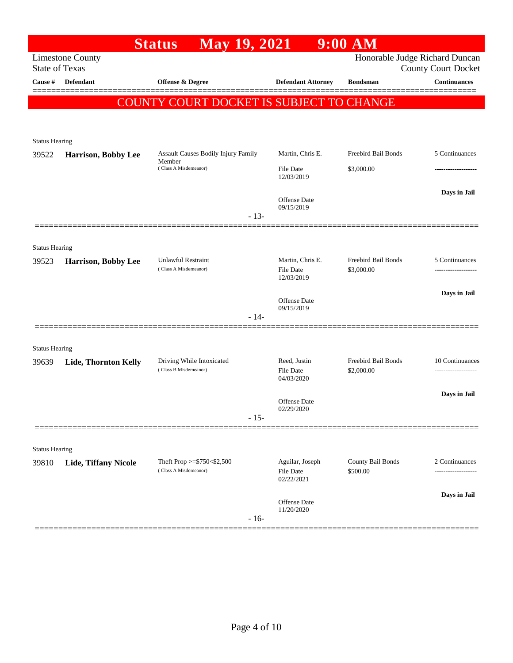|                       |                         | May 19, 2021<br><b>Status</b>                       |        |                                      | $9:00$ AM                         |                                                              |
|-----------------------|-------------------------|-----------------------------------------------------|--------|--------------------------------------|-----------------------------------|--------------------------------------------------------------|
| <b>State of Texas</b> | <b>Limestone County</b> |                                                     |        |                                      |                                   | Honorable Judge Richard Duncan<br><b>County Court Docket</b> |
| Cause #               | Defendant               | Offense & Degree                                    |        | <b>Defendant Attorney</b>            | <b>Bondsman</b>                   | <b>Continuances</b>                                          |
|                       |                         |                                                     |        |                                      |                                   | =======                                                      |
|                       |                         | COUNTY COURT DOCKET IS SUBJECT TO CHANGE            |        |                                      |                                   |                                                              |
|                       |                         |                                                     |        |                                      |                                   |                                                              |
| <b>Status Hearing</b> |                         |                                                     |        |                                      |                                   |                                                              |
| 39522                 | Harrison, Bobby Lee     | Assault Causes Bodily Injury Family<br>Member       |        | Martin, Chris E.                     | Freebird Bail Bonds               | 5 Continuances                                               |
|                       |                         | (Class A Misdemeanor)                               |        | <b>File Date</b><br>12/03/2019       | \$3,000.00                        |                                                              |
|                       |                         |                                                     |        |                                      |                                   | Days in Jail                                                 |
|                       |                         |                                                     |        | Offense Date<br>09/15/2019           |                                   |                                                              |
|                       |                         |                                                     | $-13-$ |                                      |                                   |                                                              |
|                       |                         |                                                     |        |                                      |                                   |                                                              |
| <b>Status Hearing</b> |                         |                                                     |        |                                      |                                   |                                                              |
| 39523                 | Harrison, Bobby Lee     | <b>Unlawful Restraint</b><br>(Class A Misdemeanor)  |        | Martin, Chris E.<br><b>File Date</b> | Freebird Bail Bonds<br>\$3,000.00 | 5 Continuances                                               |
|                       |                         |                                                     |        | 12/03/2019                           |                                   |                                                              |
|                       |                         |                                                     |        | Offense Date                         |                                   | Days in Jail                                                 |
|                       |                         | $-14-$                                              |        | 09/15/2019                           |                                   |                                                              |
|                       |                         |                                                     |        |                                      |                                   |                                                              |
| <b>Status Hearing</b> |                         |                                                     |        |                                      |                                   |                                                              |
| 39639                 | Lide, Thornton Kelly    | Driving While Intoxicated                           |        | Reed, Justin                         | Freebird Bail Bonds               | 10 Continuances                                              |
|                       |                         | (Class B Misdemeanor)                               |        | <b>File Date</b><br>04/03/2020       | \$2,000.00                        |                                                              |
|                       |                         |                                                     |        |                                      |                                   | Days in Jail                                                 |
|                       |                         |                                                     |        | Offense Date<br>02/29/2020           |                                   |                                                              |
|                       |                         | $-15-$                                              |        |                                      |                                   |                                                              |
|                       |                         |                                                     |        |                                      |                                   |                                                              |
| <b>Status Hearing</b> |                         |                                                     |        |                                      |                                   |                                                              |
| 39810                 | Lide, Tiffany Nicole    | Theft Prop >=\$750<\$2,500<br>(Class A Misdemeanor) |        | Aguilar, Joseph<br><b>File Date</b>  | County Bail Bonds<br>\$500.00     | 2 Continuances<br>---------------                            |
|                       |                         |                                                     |        | 02/22/2021                           |                                   |                                                              |
|                       |                         |                                                     |        | Offense Date                         |                                   | Days in Jail                                                 |
|                       |                         |                                                     |        | 11/20/2020                           |                                   |                                                              |
|                       |                         |                                                     | $-16-$ |                                      |                                   |                                                              |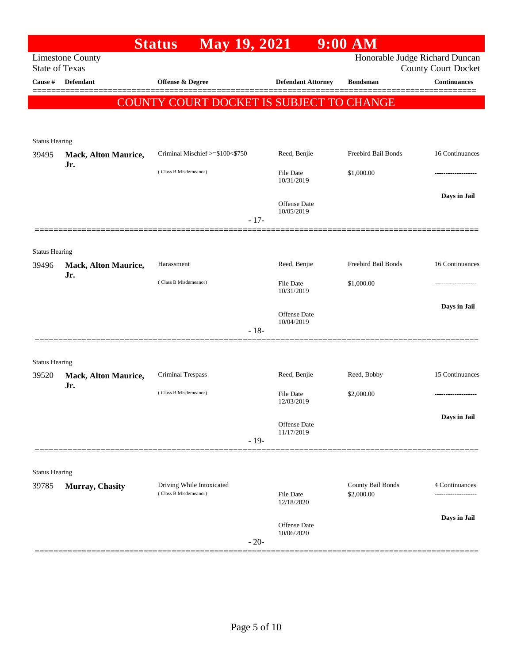|                                  |                                    | May 19, 2021<br><b>Status</b>            |        |                                   | $9:00$ AM           |                                                   |
|----------------------------------|------------------------------------|------------------------------------------|--------|-----------------------------------|---------------------|---------------------------------------------------|
|                                  | <b>Limestone County</b>            |                                          |        |                                   |                     | Honorable Judge Richard Duncan                    |
| <b>State of Texas</b><br>Cause # | <b>Defendant</b>                   | Offense & Degree                         |        | <b>Defendant Attorney</b>         | <b>Bondsman</b>     | <b>County Court Docket</b><br><b>Continuances</b> |
|                                  |                                    |                                          |        |                                   |                     |                                                   |
|                                  |                                    | COUNTY COURT DOCKET IS SUBJECT TO CHANGE |        |                                   |                     |                                                   |
|                                  |                                    |                                          |        |                                   |                     |                                                   |
| <b>Status Hearing</b>            |                                    |                                          |        |                                   |                     |                                                   |
| 39495                            | Mack, Alton Maurice,               | Criminal Mischief >=\$100<\$750          |        | Reed, Benjie                      | Freebird Bail Bonds | 16 Continuances                                   |
|                                  | Jr.                                | (Class B Misdemeanor)                    |        | <b>File Date</b><br>10/31/2019    | \$1,000.00          |                                                   |
|                                  |                                    |                                          |        |                                   |                     | Days in Jail                                      |
|                                  |                                    |                                          |        | Offense Date<br>10/05/2019        |                     |                                                   |
|                                  |                                    |                                          | $-17-$ |                                   |                     |                                                   |
|                                  |                                    |                                          |        |                                   |                     |                                                   |
| <b>Status Hearing</b>            |                                    |                                          |        |                                   |                     |                                                   |
| 39496                            | <b>Mack, Alton Maurice,</b><br>Jr. | Harassment                               |        | Reed, Benjie                      | Freebird Bail Bonds | 16 Continuances                                   |
|                                  |                                    | (Class B Misdemeanor)                    |        | <b>File Date</b><br>10/31/2019    | \$1,000.00          |                                                   |
|                                  |                                    |                                          |        |                                   |                     | Days in Jail                                      |
|                                  |                                    |                                          |        | Offense Date<br>10/04/2019        |                     |                                                   |
|                                  |                                    |                                          | $-18-$ |                                   |                     |                                                   |
|                                  |                                    |                                          |        |                                   |                     |                                                   |
| <b>Status Hearing</b><br>39520   | Mack, Alton Maurice,               | Criminal Trespass                        |        | Reed, Benjie                      | Reed, Bobby         | 15 Continuances                                   |
|                                  | Jr.                                | (Class B Misdemeanor)                    |        |                                   |                     |                                                   |
|                                  |                                    |                                          |        | <b>File Date</b><br>12/03/2019    | \$2,000.00          | .                                                 |
|                                  |                                    |                                          |        | Offense Date                      |                     | Days in Jail                                      |
|                                  |                                    |                                          |        | 11/17/2019                        |                     |                                                   |
|                                  |                                    |                                          | $-19-$ |                                   |                     |                                                   |
| <b>Status Hearing</b>            |                                    |                                          |        |                                   |                     |                                                   |
| 39785                            | Murray, Chasity                    | Driving While Intoxicated                |        |                                   | County Bail Bonds   | 4 Continuances                                    |
|                                  |                                    | (Class B Misdemeanor)                    |        | File Date<br>12/18/2020           | \$2,000.00          |                                                   |
|                                  |                                    |                                          |        |                                   |                     | Days in Jail                                      |
|                                  |                                    |                                          |        | <b>Offense</b> Date<br>10/06/2020 |                     |                                                   |
|                                  |                                    |                                          | $-20-$ |                                   |                     |                                                   |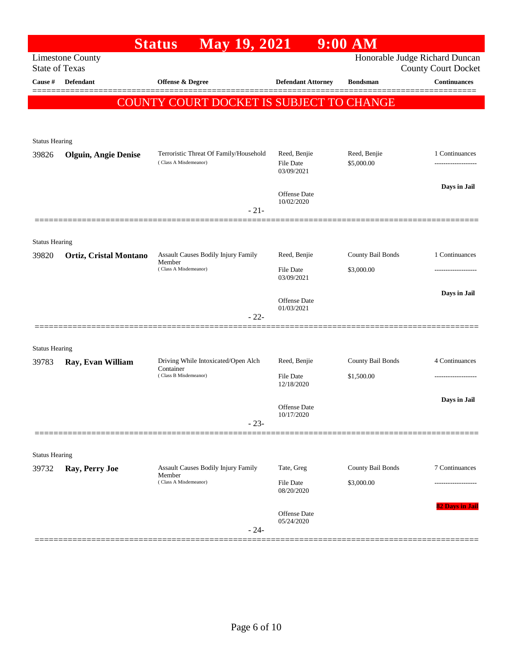|                                                  | <b>May 19, 2021</b><br><b>Status</b>                            |                                         | $9:00$ AM                                            |                                                              |
|--------------------------------------------------|-----------------------------------------------------------------|-----------------------------------------|------------------------------------------------------|--------------------------------------------------------------|
| <b>Limestone County</b><br><b>State of Texas</b> |                                                                 |                                         |                                                      | Honorable Judge Richard Duncan<br><b>County Court Docket</b> |
| <b>Defendant</b>                                 | <b>Offense &amp; Degree</b>                                     | <b>Defendant Attorney</b>               | <b>Bondsman</b>                                      | <b>Continuances</b>                                          |
|                                                  |                                                                 |                                         |                                                      |                                                              |
|                                                  |                                                                 |                                         |                                                      |                                                              |
| <b>Status Hearing</b>                            |                                                                 |                                         |                                                      |                                                              |
| <b>Olguin, Angie Denise</b>                      | Terroristic Threat Of Family/Household<br>(Class A Misdemeanor) | Reed, Benjie<br><b>File Date</b>        | Reed, Benjie<br>\$5,000.00                           | 1 Continuances                                               |
|                                                  |                                                                 | Offense Date                            |                                                      | Days in Jail                                                 |
|                                                  | $-21-$                                                          |                                         |                                                      |                                                              |
|                                                  |                                                                 |                                         |                                                      |                                                              |
| <b>Status Hearing</b><br>Ortiz, Cristal Montano  | Assault Causes Bodily Injury Family                             | Reed, Benjie                            | County Bail Bonds                                    | 1 Continuances                                               |
|                                                  | (Class A Misdemeanor)                                           | <b>File Date</b><br>03/09/2021          | \$3,000.00                                           |                                                              |
|                                                  |                                                                 | Offense Date                            |                                                      | Days in Jail                                                 |
|                                                  | $-22-$                                                          |                                         |                                                      |                                                              |
| <b>Status Hearing</b>                            |                                                                 |                                         |                                                      |                                                              |
| Ray, Evan William                                | Driving While Intoxicated/Open Alch                             | Reed, Benjie                            | County Bail Bonds                                    | 4 Continuances                                               |
|                                                  | (Class B Misdemeanor)                                           | File Date<br>12/18/2020                 | \$1,500.00                                           | -------------------                                          |
|                                                  |                                                                 | Offense Date                            |                                                      | Days in Jail                                                 |
|                                                  | $-23-$                                                          |                                         |                                                      |                                                              |
|                                                  |                                                                 |                                         |                                                      |                                                              |
| Ray, Perry Joe                                   | Assault Causes Bodily Injury Family                             | Tate, Greg                              | County Bail Bonds                                    | 7 Continuances                                               |
|                                                  | (Class A Misdemeanor)                                           | File Date<br>08/20/2020                 | \$3,000.00                                           |                                                              |
|                                                  |                                                                 | Offense Date<br>05/24/2020              |                                                      | 82 Days in Jail                                              |
|                                                  | <b>Status Hearing</b>                                           | Member<br>Container<br>Member<br>$-24-$ | 03/09/2021<br>10/02/2020<br>01/03/2021<br>10/17/2020 | COUNTY COURT DOCKET IS SUBJECT TO CHANGE                     |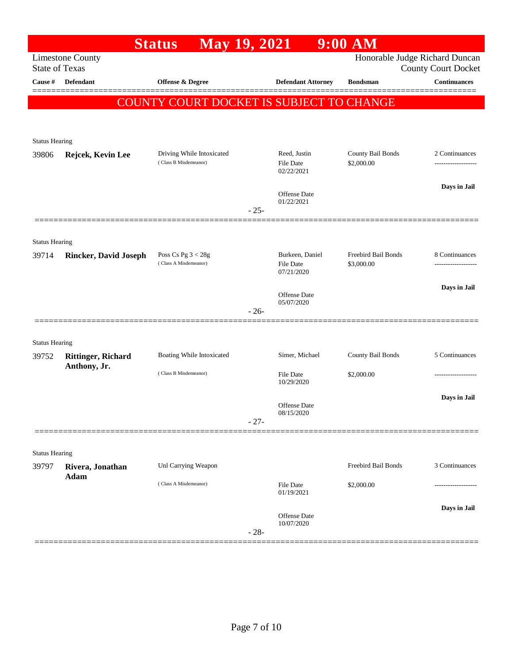|                                |                              | <b>May 19, 2021</b><br><b>Status</b>               |        |                                     | $9:00$ AM                         |                                                              |
|--------------------------------|------------------------------|----------------------------------------------------|--------|-------------------------------------|-----------------------------------|--------------------------------------------------------------|
| <b>State of Texas</b>          | <b>Limestone County</b>      |                                                    |        |                                     |                                   | Honorable Judge Richard Duncan<br><b>County Court Docket</b> |
| Cause #                        | <b>Defendant</b>             | Offense & Degree                                   |        | <b>Defendant Attorney</b>           | <b>Bondsman</b>                   | <b>Continuances</b>                                          |
|                                |                              | COUNTY COURT DOCKET IS SUBJECT TO CHANGE           |        |                                     |                                   |                                                              |
|                                |                              |                                                    |        |                                     |                                   |                                                              |
| <b>Status Hearing</b>          |                              |                                                    |        |                                     |                                   |                                                              |
| 39806                          | Rejcek, Kevin Lee            | Driving While Intoxicated<br>(Class B Misdemeanor) |        | Reed, Justin<br><b>File Date</b>    | County Bail Bonds<br>\$2,000.00   | 2 Continuances                                               |
|                                |                              |                                                    |        | 02/22/2021                          |                                   |                                                              |
|                                |                              |                                                    |        | Offense Date                        |                                   | Days in Jail                                                 |
|                                |                              |                                                    | $-25-$ | 01/22/2021                          |                                   |                                                              |
|                                |                              |                                                    |        |                                     |                                   |                                                              |
| <b>Status Hearing</b>          |                              |                                                    |        |                                     |                                   |                                                              |
| 39714                          | <b>Rincker, David Joseph</b> | Poss Cs Pg $3 < 28g$<br>(Class A Misdemeanor)      |        | Burkeen, Daniel<br><b>File Date</b> | Freebird Bail Bonds<br>\$3,000.00 | 8 Continuances                                               |
|                                |                              |                                                    |        | 07/21/2020                          |                                   | Days in Jail                                                 |
|                                |                              |                                                    |        | <b>Offense</b> Date<br>05/07/2020   |                                   |                                                              |
|                                |                              |                                                    | $-26-$ |                                     |                                   |                                                              |
|                                |                              |                                                    |        |                                     |                                   |                                                              |
| <b>Status Hearing</b><br>39752 | <b>Rittinger, Richard</b>    | Boating While Intoxicated                          |        | Simer, Michael                      | County Bail Bonds                 | 5 Continuances                                               |
|                                | Anthony, Jr.                 | (Class B Misdemeanor)                              |        |                                     |                                   |                                                              |
|                                |                              |                                                    |        | File Date<br>10/29/2020             | \$2,000.00                        |                                                              |
|                                |                              |                                                    |        | <b>Offense</b> Date                 |                                   | Days in Jail                                                 |
|                                |                              |                                                    | $-27-$ | 08/15/2020                          |                                   |                                                              |
|                                |                              |                                                    |        |                                     |                                   |                                                              |
| <b>Status Hearing</b>          |                              |                                                    |        |                                     |                                   |                                                              |
| 39797                          | Rivera, Jonathan             | Unl Carrying Weapon                                |        |                                     | Freebird Bail Bonds               | 3 Continuances                                               |
|                                | Adam                         | (Class A Misdemeanor)                              |        | <b>File Date</b><br>01/19/2021      | \$2,000.00                        |                                                              |
|                                |                              |                                                    |        | Offense Date                        |                                   | Days in Jail                                                 |
|                                |                              |                                                    | $-28-$ | 10/07/2020                          |                                   |                                                              |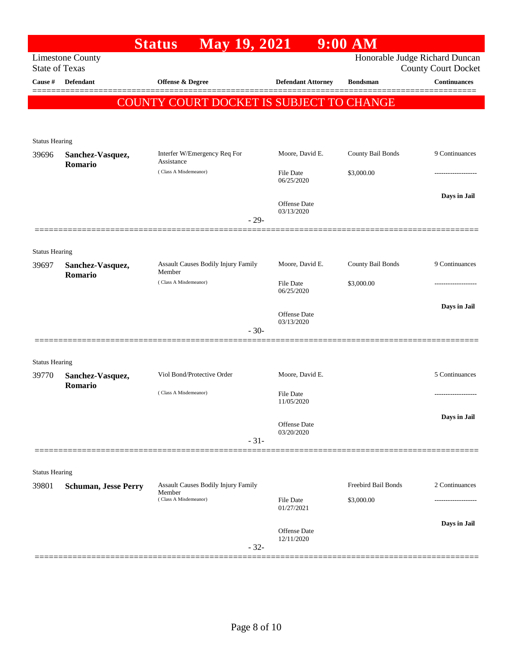| Honorable Judge Richard Duncan<br><b>Limestone County</b><br><b>State of Texas</b><br><b>County Court Docket</b><br><b>Continuances</b><br>Cause #<br><b>Defendant</b><br>Offense & Degree<br><b>Defendant Attorney</b><br><b>Bondsman</b><br>COUNTY COURT DOCKET IS SUBJECT TO CHANGE<br><b>Status Hearing</b><br>Interfer W/Emergency Req For<br>Moore, David E.<br>County Bail Bonds<br>39696<br>Sanchez-Vasquez,<br>Assistance<br>Romario<br>(Class A Misdemeanor)<br>File Date<br>\$3,000.00<br>06/25/2020<br>Offense Date<br>03/13/2020<br>$-29-$<br><b>Status Hearing</b><br>County Bail Bonds<br>Assault Causes Bodily Injury Family<br>Moore, David E.<br>39697<br>Sanchez-Vasquez,<br>Member<br>Romario<br>(Class A Misdemeanor)<br>File Date<br>\$3,000.00<br>06/25/2020<br>Offense Date<br>03/13/2020<br>$-30-$<br><b>Status Hearing</b><br>Viol Bond/Protective Order<br>Moore, David E.<br>39770<br>Sanchez-Vasquez,<br>Romario<br>(Class A Misdemeanor)<br>File Date<br>.<br>11/05/2020<br>Offense Date<br>03/20/2020<br>$-31-$<br><b>Status Hearing</b><br>Freebird Bail Bonds<br>Assault Causes Bodily Injury Family<br>39801<br><b>Schuman, Jesse Perry</b><br>Member<br>(Class A Misdemeanor)<br><b>File Date</b><br>\$3,000.00<br>01/27/2021<br><b>Offense Date</b><br>12/11/2020<br>$-32-$ |  | May 19, 2021<br><b>Status</b> |  | $9:00$ AM |                |
|-----------------------------------------------------------------------------------------------------------------------------------------------------------------------------------------------------------------------------------------------------------------------------------------------------------------------------------------------------------------------------------------------------------------------------------------------------------------------------------------------------------------------------------------------------------------------------------------------------------------------------------------------------------------------------------------------------------------------------------------------------------------------------------------------------------------------------------------------------------------------------------------------------------------------------------------------------------------------------------------------------------------------------------------------------------------------------------------------------------------------------------------------------------------------------------------------------------------------------------------------------------------------------------------------------------------|--|-------------------------------|--|-----------|----------------|
|                                                                                                                                                                                                                                                                                                                                                                                                                                                                                                                                                                                                                                                                                                                                                                                                                                                                                                                                                                                                                                                                                                                                                                                                                                                                                                                 |  |                               |  |           |                |
|                                                                                                                                                                                                                                                                                                                                                                                                                                                                                                                                                                                                                                                                                                                                                                                                                                                                                                                                                                                                                                                                                                                                                                                                                                                                                                                 |  |                               |  |           |                |
|                                                                                                                                                                                                                                                                                                                                                                                                                                                                                                                                                                                                                                                                                                                                                                                                                                                                                                                                                                                                                                                                                                                                                                                                                                                                                                                 |  |                               |  |           |                |
|                                                                                                                                                                                                                                                                                                                                                                                                                                                                                                                                                                                                                                                                                                                                                                                                                                                                                                                                                                                                                                                                                                                                                                                                                                                                                                                 |  |                               |  |           |                |
|                                                                                                                                                                                                                                                                                                                                                                                                                                                                                                                                                                                                                                                                                                                                                                                                                                                                                                                                                                                                                                                                                                                                                                                                                                                                                                                 |  |                               |  |           |                |
|                                                                                                                                                                                                                                                                                                                                                                                                                                                                                                                                                                                                                                                                                                                                                                                                                                                                                                                                                                                                                                                                                                                                                                                                                                                                                                                 |  |                               |  |           | 9 Continuances |
|                                                                                                                                                                                                                                                                                                                                                                                                                                                                                                                                                                                                                                                                                                                                                                                                                                                                                                                                                                                                                                                                                                                                                                                                                                                                                                                 |  |                               |  |           |                |
|                                                                                                                                                                                                                                                                                                                                                                                                                                                                                                                                                                                                                                                                                                                                                                                                                                                                                                                                                                                                                                                                                                                                                                                                                                                                                                                 |  |                               |  |           | Days in Jail   |
|                                                                                                                                                                                                                                                                                                                                                                                                                                                                                                                                                                                                                                                                                                                                                                                                                                                                                                                                                                                                                                                                                                                                                                                                                                                                                                                 |  |                               |  |           |                |
|                                                                                                                                                                                                                                                                                                                                                                                                                                                                                                                                                                                                                                                                                                                                                                                                                                                                                                                                                                                                                                                                                                                                                                                                                                                                                                                 |  |                               |  |           |                |
|                                                                                                                                                                                                                                                                                                                                                                                                                                                                                                                                                                                                                                                                                                                                                                                                                                                                                                                                                                                                                                                                                                                                                                                                                                                                                                                 |  |                               |  |           | 9 Continuances |
|                                                                                                                                                                                                                                                                                                                                                                                                                                                                                                                                                                                                                                                                                                                                                                                                                                                                                                                                                                                                                                                                                                                                                                                                                                                                                                                 |  |                               |  |           |                |
|                                                                                                                                                                                                                                                                                                                                                                                                                                                                                                                                                                                                                                                                                                                                                                                                                                                                                                                                                                                                                                                                                                                                                                                                                                                                                                                 |  |                               |  |           | Days in Jail   |
|                                                                                                                                                                                                                                                                                                                                                                                                                                                                                                                                                                                                                                                                                                                                                                                                                                                                                                                                                                                                                                                                                                                                                                                                                                                                                                                 |  |                               |  |           |                |
|                                                                                                                                                                                                                                                                                                                                                                                                                                                                                                                                                                                                                                                                                                                                                                                                                                                                                                                                                                                                                                                                                                                                                                                                                                                                                                                 |  |                               |  |           |                |
|                                                                                                                                                                                                                                                                                                                                                                                                                                                                                                                                                                                                                                                                                                                                                                                                                                                                                                                                                                                                                                                                                                                                                                                                                                                                                                                 |  |                               |  |           | 5 Continuances |
|                                                                                                                                                                                                                                                                                                                                                                                                                                                                                                                                                                                                                                                                                                                                                                                                                                                                                                                                                                                                                                                                                                                                                                                                                                                                                                                 |  |                               |  |           |                |
|                                                                                                                                                                                                                                                                                                                                                                                                                                                                                                                                                                                                                                                                                                                                                                                                                                                                                                                                                                                                                                                                                                                                                                                                                                                                                                                 |  |                               |  |           | Days in Jail   |
|                                                                                                                                                                                                                                                                                                                                                                                                                                                                                                                                                                                                                                                                                                                                                                                                                                                                                                                                                                                                                                                                                                                                                                                                                                                                                                                 |  |                               |  |           |                |
|                                                                                                                                                                                                                                                                                                                                                                                                                                                                                                                                                                                                                                                                                                                                                                                                                                                                                                                                                                                                                                                                                                                                                                                                                                                                                                                 |  |                               |  |           |                |
|                                                                                                                                                                                                                                                                                                                                                                                                                                                                                                                                                                                                                                                                                                                                                                                                                                                                                                                                                                                                                                                                                                                                                                                                                                                                                                                 |  |                               |  |           | 2 Continuances |
|                                                                                                                                                                                                                                                                                                                                                                                                                                                                                                                                                                                                                                                                                                                                                                                                                                                                                                                                                                                                                                                                                                                                                                                                                                                                                                                 |  |                               |  |           |                |
|                                                                                                                                                                                                                                                                                                                                                                                                                                                                                                                                                                                                                                                                                                                                                                                                                                                                                                                                                                                                                                                                                                                                                                                                                                                                                                                 |  |                               |  |           | Days in Jail   |
|                                                                                                                                                                                                                                                                                                                                                                                                                                                                                                                                                                                                                                                                                                                                                                                                                                                                                                                                                                                                                                                                                                                                                                                                                                                                                                                 |  |                               |  |           |                |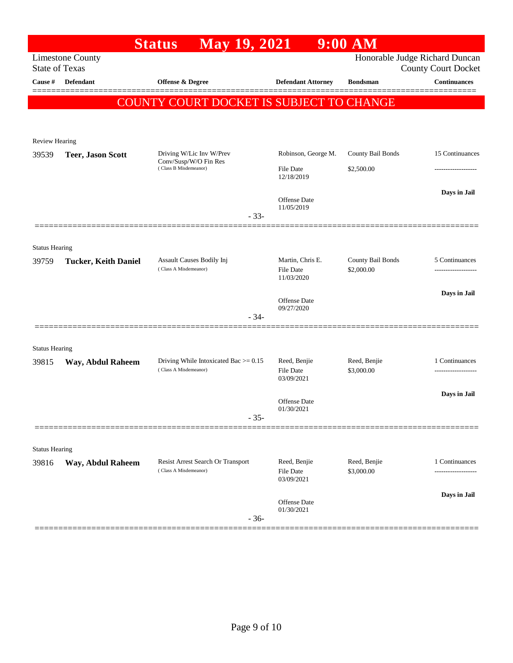|                       |                             | <b>May 19, 2021</b><br><b>Status</b>                                |                                | $9:00$ AM                  |                                                              |
|-----------------------|-----------------------------|---------------------------------------------------------------------|--------------------------------|----------------------------|--------------------------------------------------------------|
| <b>State of Texas</b> | <b>Limestone County</b>     |                                                                     |                                |                            | Honorable Judge Richard Duncan<br><b>County Court Docket</b> |
| Cause #               | Defendant                   | Offense & Degree                                                    | <b>Defendant Attorney</b>      | <b>Bondsman</b>            | <b>Continuances</b>                                          |
|                       |                             |                                                                     |                                |                            |                                                              |
|                       |                             | COUNTY COURT DOCKET IS SUBJECT TO CHANGE                            |                                |                            |                                                              |
|                       |                             |                                                                     |                                |                            |                                                              |
| Review Hearing        |                             |                                                                     |                                |                            |                                                              |
| 39539                 | <b>Teer, Jason Scott</b>    | Driving W/Lic Inv W/Prev                                            | Robinson, George M.            | County Bail Bonds          | 15 Continuances                                              |
|                       |                             | Conv/Susp/W/O Fin Res<br>(Class B Misdemeanor)                      | <b>File Date</b><br>12/18/2019 | \$2,500.00                 |                                                              |
|                       |                             | $-33-$                                                              | Offense Date<br>11/05/2019     |                            | Days in Jail                                                 |
|                       |                             |                                                                     |                                |                            |                                                              |
| <b>Status Hearing</b> |                             |                                                                     |                                |                            |                                                              |
| 39759                 | <b>Tucker, Keith Daniel</b> | Assault Causes Bodily Inj                                           | Martin, Chris E.               | County Bail Bonds          | 5 Continuances                                               |
|                       |                             | (Class A Misdemeanor)                                               | <b>File Date</b><br>11/03/2020 | \$2,000.00                 | -------------------                                          |
|                       |                             |                                                                     |                                |                            | Days in Jail                                                 |
|                       |                             |                                                                     | Offense Date<br>09/27/2020     |                            |                                                              |
|                       |                             | $-34-$                                                              |                                |                            |                                                              |
|                       |                             |                                                                     |                                |                            |                                                              |
| <b>Status Hearing</b> |                             |                                                                     |                                |                            |                                                              |
| 39815                 | Way, Abdul Raheem           | Driving While Intoxicated Bac $\ge$ = 0.15<br>(Class A Misdemeanor) | Reed, Benjie<br>File Date      | Reed, Benjie<br>\$3,000.00 | 1 Continuances<br>.                                          |
|                       |                             |                                                                     | 03/09/2021                     |                            |                                                              |
|                       |                             |                                                                     | Offense Date                   |                            | Days in Jail                                                 |
|                       |                             | $-35-$                                                              | 01/30/2021                     |                            |                                                              |
|                       |                             |                                                                     |                                |                            |                                                              |
| <b>Status Hearing</b> |                             |                                                                     |                                |                            |                                                              |
| 39816                 | Way, Abdul Raheem           | Resist Arrest Search Or Transport                                   | Reed, Benjie                   | Reed, Benjie               | 1 Continuances                                               |
|                       |                             | (Class A Misdemeanor)                                               | <b>File Date</b><br>03/09/2021 | \$3,000.00                 | .                                                            |
|                       |                             |                                                                     |                                |                            | Days in Jail                                                 |
|                       |                             | $-36-$                                                              | Offense Date<br>01/30/2021     |                            |                                                              |
|                       |                             |                                                                     |                                |                            |                                                              |